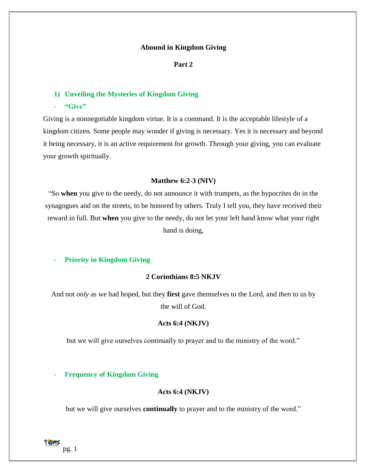## **Abound in Kingdom Giving**

## **Part 2**

## **1) Unveiling the Mysteries of Kingdom Giving**

- **"Give"**

Giving is a nonnegotiable kingdom virtue. It is a command. It is the acceptable lifestyle of a kingdom citizen. Some people may wonder if giving is necessary. Yes it is necessary and beyond it being necessary, it is an active requirement for growth. Through your giving, you can evaluate your growth spiritually.

## **Matthew 6:2-3 (NIV)**

"So **when** you give to the needy, do not announce it with trumpets, as the hypocrites do in the synagogues and on the streets, to be honored by others. Truly I tell you, they have received their reward in full. But **when** you give to the needy, do not let your left hand know what your right hand is doing,

## - **Priority in Kingdom Giving**

# **2 Corinthians 8:5 NKJV**

And not *only* as we had hoped, but they **first** gave themselves to the Lord, and *then* to us by the will of God.

## **Acts 6:4 (NKJV)**

but we will give ourselves continually to prayer and to the ministry of the word."

## **Frequency of Kingdom Giving**

## **Acts 6:4 (NKJV)**

but we will give ourselves **continually** to prayer and to the ministry of the word."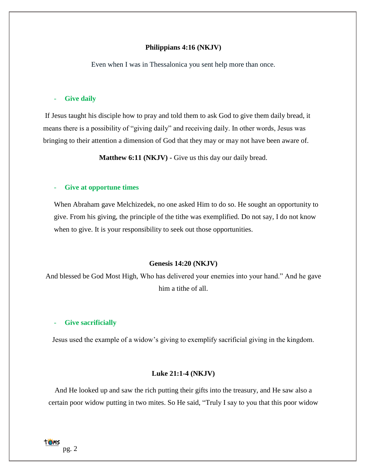### **Philippians 4:16 (NKJV)**

Even when I was in Thessalonica you sent help more than once.

## **Give daily**

If Jesus taught his disciple how to pray and told them to ask God to give them daily bread, it means there is a possibility of "giving daily" and receiving daily. In other words, Jesus was bringing to their attention a dimension of God that they may or may not have been aware of.

**Matthew 6:11 (NKJV) -** Give us this day our daily bread.

## - **Give at opportune times**

When Abraham gave Melchizedek, no one asked Him to do so. He sought an opportunity to give. From his giving, the principle of the tithe was exemplified. Do not say, I do not know when to give. It is your responsibility to seek out those opportunities.

#### **Genesis 14:20 (NKJV)**

And blessed be God Most High, Who has delivered your enemies into your hand." And he gave him a tithe of all.

### Give sacrificially

Jesus used the example of a widow's giving to exemplify sacrificial giving in the kingdom.

## **Luke 21:1-4 (NKJV)**

And He looked up and saw the rich putting their gifts into the treasury, and He saw also a certain poor widow putting in two mites. So He said, "Truly I say to you that this poor widow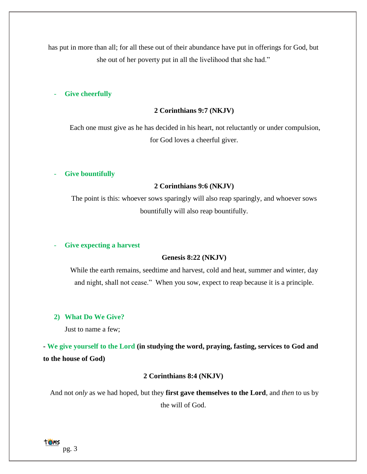has put in more than all; for all these out of their abundance have put in offerings for God, but she out of her poverty put in all the livelihood that she had."

## Give cheerfully

#### **2 Corinthians 9:7 (NKJV)**

Each one must give as he has decided in his heart, not reluctantly or under compulsion, for God loves a cheerful giver.

#### - **Give bountifully**

## **2 Corinthians 9:6 (NKJV)**

The point is this: whoever sows sparingly will also reap sparingly, and whoever sows bountifully will also reap bountifully.

### - **Give expecting a harvest**

## **Genesis 8:22 (NKJV)**

While the earth remains, seedtime and harvest, cold and heat, summer and winter, day and night, shall not cease."When you sow, expect to reap because it is a principle.

## **2) What Do We Give?**

Just to name a few;

**- We give yourself to the Lord (in studying the word, praying, fasting, services to God and to the house of God)**

## **2 Corinthians 8:4 (NKJV)**

And not *only* as we had hoped, but they **first gave themselves to the Lord**, and *then* to us by the will of God.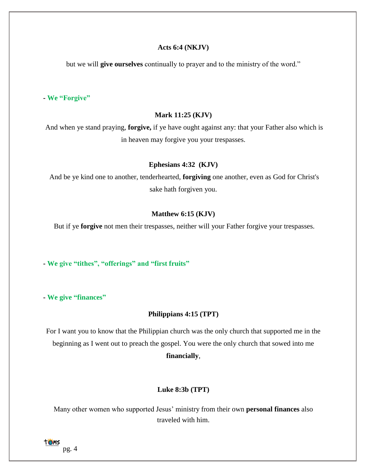## **Acts 6:4 (NKJV)**

but we will **give ourselves** continually to prayer and to the ministry of the word."

**- We "Forgive"**

## **[Mark](https://www.kingjamesbibleonline.org/Mark-11-25/) 11:25 (KJV)**

And when ye stand praying, **forgive,** if ye have ought against any: that your Father also which is in heaven may forgive you your trespasses.

## **[Ephesians](https://www.kingjamesbibleonline.org/Ephesians-4-32/) 4:32 (KJV)**

And be ye kind one to another, tenderhearted, **forgiving** one another, even as God for Christ's sake hath forgiven you.

## **[Matthew](https://www.kingjamesbibleonline.org/Matthew-6-15/) 6:15 (KJV)**

But if ye **forgive** not men their trespasses, neither will your Father forgive your trespasses.

**- We give "tithes", "offerings" and "first fruits"**

**- We give "finances"**

## **Philippians 4:15 (TPT)**

For I want you to know that the Philippian church was the only church that supported me in the beginning as I went out to preach the gospel. You were the only church that sowed into me **financially**,

## **Luke 8:3b (TPT)**

Many other women who supported Jesus' ministry from their own **personal finances** also traveled with him.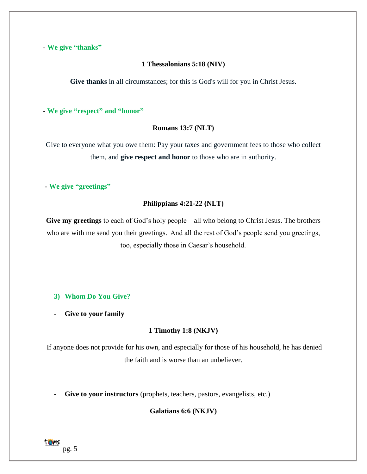**- We give "thanks"**

# **1 Thessalonians 5:18 (NIV)**

**Give thanks** in all circumstances; for this is God's will for you in Christ Jesus.

**- We give "respect" and "honor"**

# **Romans 13:7 (NLT)**

Give to everyone what you owe them: Pay your taxes and government fees to those who collect them, and **give respect and honor** to those who are in authority.

**- We give "greetings"**

## **Philippians 4:21-22 (NLT)**

**Give my greetings** to each of God's holy people—all who belong to Christ Jesus. The brothers who are with me send you their greetings. And all the rest of God's people send you greetings, too, especially those in Caesar's household.

# **3) Whom Do You Give?**

- **Give to your family** 

# **1 Timothy 1:8 (NKJV)**

If anyone does not provide for his own, and especially for those of his household, he has denied the faith and is worse than an unbeliever.

Give to your instructors (prophets, teachers, pastors, evangelists, etc.)

**Galatians 6:6 (NKJV)**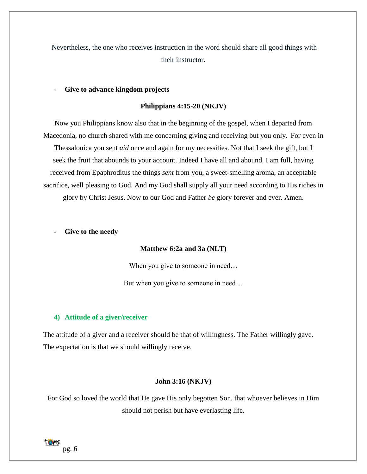Nevertheless, the one who receives instruction in the word should share all good things with their instructor.

## - **Give to advance kingdom projects**

## **Philippians 4:15-20 (NKJV)**

Now you Philippians know also that in the beginning of the gospel, when I departed from Macedonia, no church shared with me concerning giving and receiving but you only. For even in Thessalonica you sent *aid* once and again for my necessities. Not that I seek the gift, but I seek the fruit that abounds to your account. Indeed I have all and abound. I am full, having received from Epaphroditus the things *sent* from you, a sweet-smelling aroma, an acceptable sacrifice, well pleasing to God. And my God shall supply all your need according to His riches in glory by Christ Jesus. Now to our God and Father *be* glory forever and ever. Amen.

### Give to the needy

## **Matthew 6:2a and 3a (NLT)**

When you give to someone in need...

But when you give to someone in need…

### **4) Attitude of a giver/receiver**

The attitude of a giver and a receiver should be that of willingness. The Father willingly gave. The expectation is that we should willingly receive.

## **John 3:16 (NKJV)**

For God so loved the world that He gave His only begotten Son, that whoever believes in Him should not perish but have everlasting life.